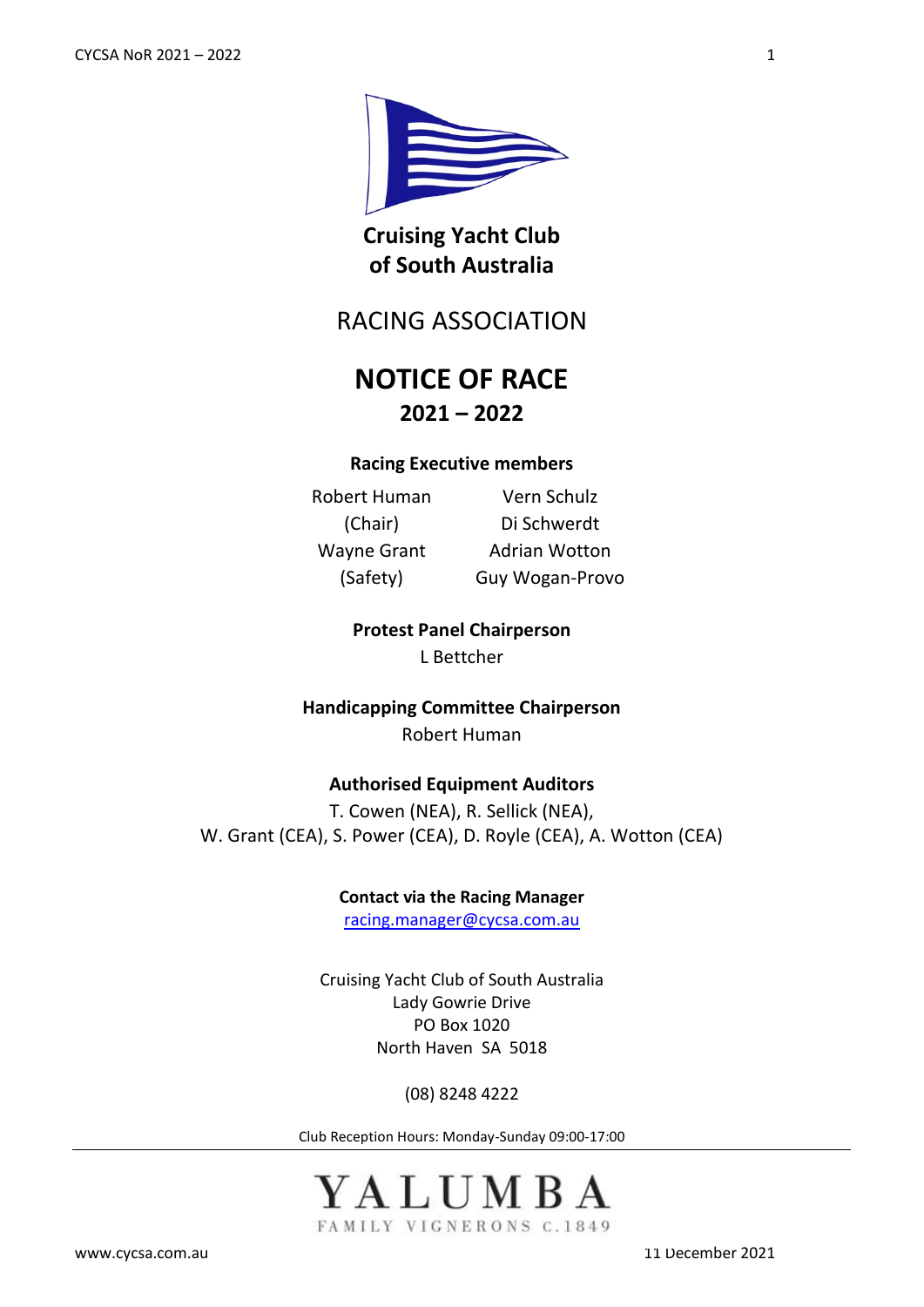

**Cruising Yacht Club of South Australia**

RACING ASSOCIATION

# **NOTICE OF RACE 2021 – 2022**

## **Racing Executive members**

Robert Human (Chair) Wayne Grant (Safety)

Vern Schulz Di Schwerdt Adrian Wotton Guy Wogan-Provo

**Protest Panel Chairperson** L Bettcher

**Handicapping Committee Chairperson** Robert Human

## **Authorised Equipment Auditors**

T. Cowen (NEA), R. Sellick (NEA), W. Grant (CEA), S. Power (CEA), D. Royle (CEA), A. Wotton (CEA)

**Contact via the Racing Manager**

[racing.manager@cycsa.com.au](mailto:racing.manager@cycsa.com.au)

Cruising Yacht Club of South Australia Lady Gowrie Drive PO Box 1020 North Haven SA 5018

(08) 8248 4222

Club Reception Hours: Monday-Sunday 09:00-17:00



[www.cycsa.com.au](http://www.cycsa.com.au/) 11 December 2021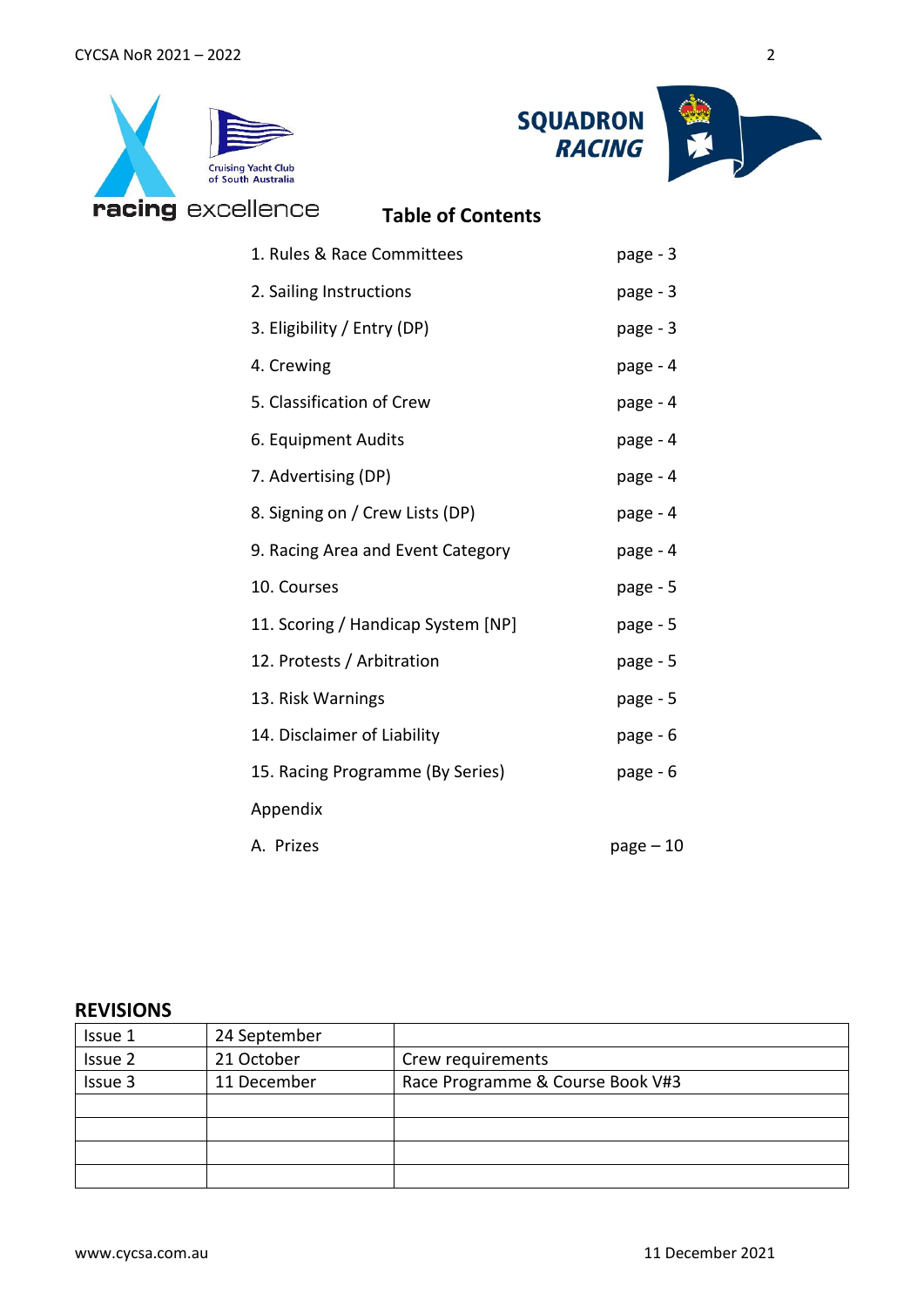



| llence                          | <b>Table of Contents</b>           |           |
|---------------------------------|------------------------------------|-----------|
| 1. Rules & Race Committees      | page - 3                           |           |
| 2. Sailing Instructions         |                                    | page - 3  |
| 3. Eligibility / Entry (DP)     |                                    | page - 3  |
| 4. Crewing                      |                                    | page - 4  |
| 5. Classification of Crew       |                                    | page - 4  |
| 6. Equipment Audits             |                                    | page - 4  |
| 7. Advertising (DP)             |                                    | page - 4  |
| 8. Signing on / Crew Lists (DP) |                                    | page - 4  |
|                                 | 9. Racing Area and Event Category  | page - 4  |
| 10. Courses                     |                                    | page - 5  |
|                                 | 11. Scoring / Handicap System [NP] | page - 5  |
| 12. Protests / Arbitration      |                                    | page - 5  |
| 13. Risk Warnings               |                                    | page - 5  |
| 14. Disclaimer of Liability     |                                    | page - 6  |
|                                 | 15. Racing Programme (By Series)   | page - 6  |
| Appendix                        |                                    |           |
| A. Prizes                       |                                    | page – 10 |

## **REVISIONS**

| Issue 1 | 24 September |                                  |
|---------|--------------|----------------------------------|
| Issue 2 | 21 October   | Crew requirements                |
| Issue 3 | 11 December  | Race Programme & Course Book V#3 |
|         |              |                                  |
|         |              |                                  |
|         |              |                                  |
|         |              |                                  |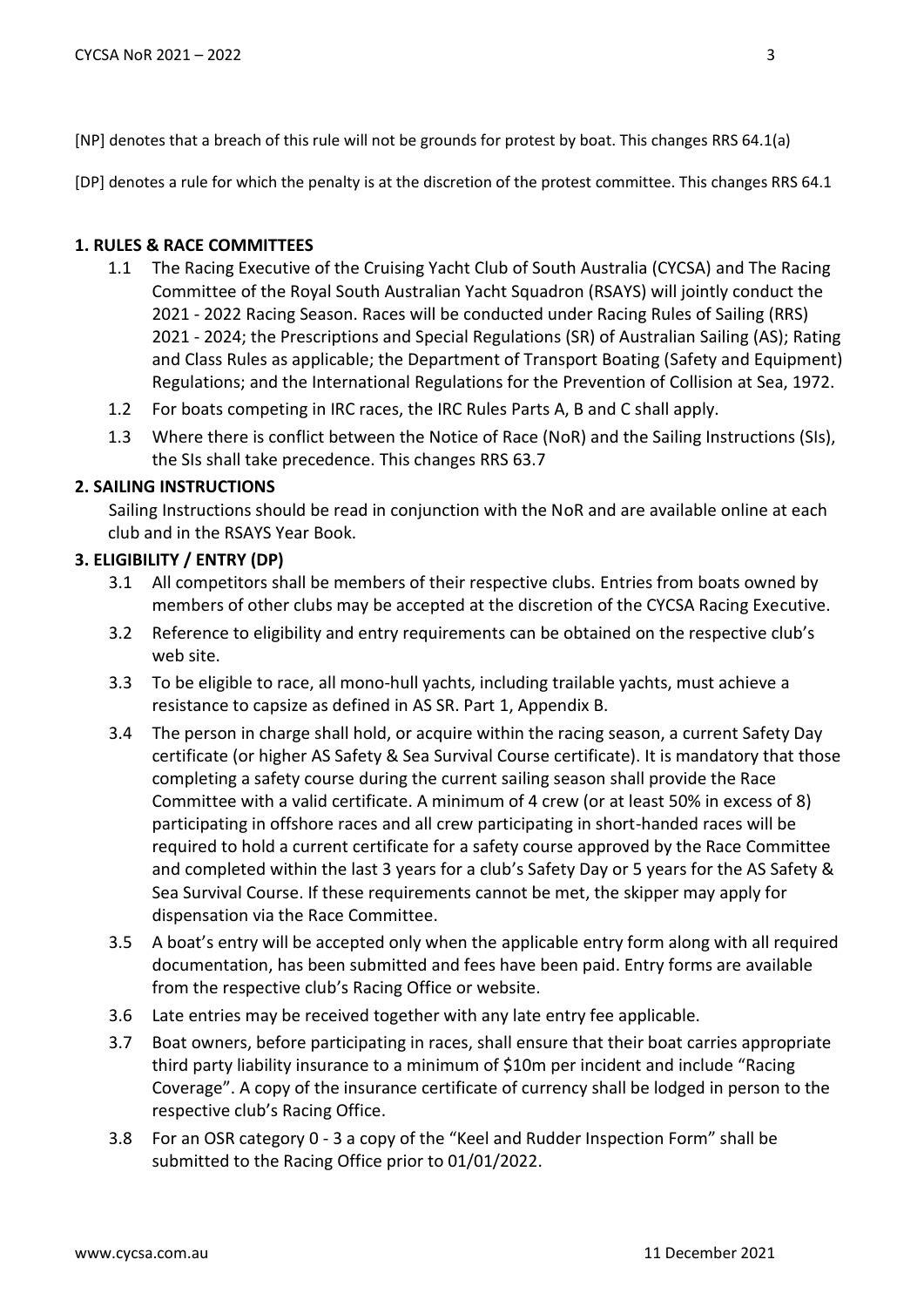[DP] denotes a rule for which the penalty is at the discretion of the protest committee. This changes RRS 64.1

#### **1. RULES & RACE COMMITTEES**

- 1.1 The Racing Executive of the Cruising Yacht Club of South Australia (CYCSA) and The Racing Committee of the Royal South Australian Yacht Squadron (RSAYS) will jointly conduct the 2021 - 2022 Racing Season. Races will be conducted under Racing Rules of Sailing (RRS) 2021 - 2024; the Prescriptions and Special Regulations (SR) of Australian Sailing (AS); Rating and Class Rules as applicable; the Department of Transport Boating (Safety and Equipment) Regulations; and the International Regulations for the Prevention of Collision at Sea, 1972.
- 1.2 For boats competing in IRC races, the IRC Rules Parts A, B and C shall apply.
- 1.3 Where there is conflict between the Notice of Race (NoR) and the Sailing Instructions (SIs), the SIs shall take precedence. This changes RRS 63.7

## **2. SAILING INSTRUCTIONS**

Sailing Instructions should be read in conjunction with the NoR and are available online at each club and in the RSAYS Year Book.

#### **3. ELIGIBILITY / ENTRY (DP)**

- 3.1 All competitors shall be members of their respective clubs. Entries from boats owned by members of other clubs may be accepted at the discretion of the CYCSA Racing Executive.
- 3.2 Reference to eligibility and entry requirements can be obtained on the respective club's web site.
- 3.3 To be eligible to race, all mono-hull yachts, including trailable yachts, must achieve a resistance to capsize as defined in AS SR. Part 1, Appendix B.
- 3.4 The person in charge shall hold, or acquire within the racing season, a current Safety Day certificate (or higher AS Safety & Sea Survival Course certificate). It is mandatory that those completing a safety course during the current sailing season shall provide the Race Committee with a valid certificate. A minimum of 4 crew (or at least 50% in excess of 8) participating in offshore races and all crew participating in short-handed races will be required to hold a current certificate for a safety course approved by the Race Committee and completed within the last 3 years for a club's Safety Day or 5 years for the AS Safety & Sea Survival Course. If these requirements cannot be met, the skipper may apply for dispensation via the Race Committee.
- 3.5 A boat's entry will be accepted only when the applicable entry form along with all required documentation, has been submitted and fees have been paid. Entry forms are available from the respective club's Racing Office or website.
- 3.6 Late entries may be received together with any late entry fee applicable.
- 3.7 Boat owners, before participating in races, shall ensure that their boat carries appropriate third party liability insurance to a minimum of \$10m per incident and include "Racing Coverage". A copy of the insurance certificate of currency shall be lodged in person to the respective club's Racing Office.
- 3.8 For an OSR category 0 3 a copy of the "Keel and Rudder Inspection Form" shall be submitted to the Racing Office prior to 01/01/2022.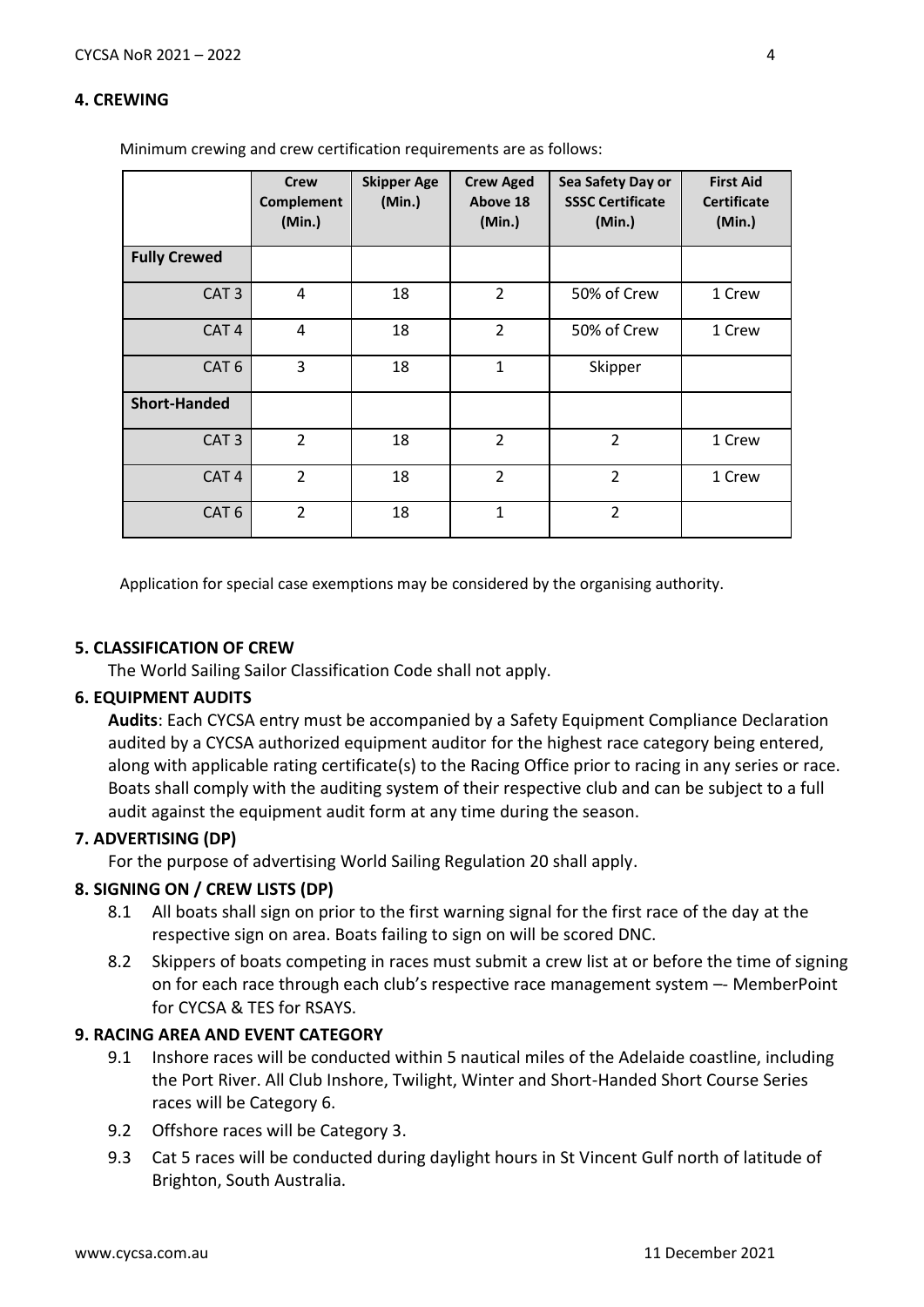#### **4. CREWING**

Minimum crewing and crew certification requirements are as follows:

|                     | <b>Crew</b><br><b>Complement</b><br>(Min.) | <b>Skipper Age</b><br>(Min.) | <b>Crew Aged</b><br>Above 18<br>(Min.) | Sea Safety Day or<br><b>SSSC Certificate</b><br>(Min.) | <b>First Aid</b><br><b>Certificate</b><br>(Min.) |
|---------------------|--------------------------------------------|------------------------------|----------------------------------------|--------------------------------------------------------|--------------------------------------------------|
| <b>Fully Crewed</b> |                                            |                              |                                        |                                                        |                                                  |
| CAT <sub>3</sub>    | 4                                          | 18                           | $\overline{2}$                         | 50% of Crew                                            | 1 Crew                                           |
| CAT <sub>4</sub>    | 4                                          | 18                           | $\overline{2}$                         | 50% of Crew                                            | 1 Crew                                           |
| CAT <sub>6</sub>    | 3                                          | 18                           | 1                                      | Skipper                                                |                                                  |
| <b>Short-Handed</b> |                                            |                              |                                        |                                                        |                                                  |
| CAT <sub>3</sub>    | 2                                          | 18                           | $\overline{2}$                         | $\overline{2}$                                         | 1 Crew                                           |
| CAT <sub>4</sub>    | $\overline{2}$                             | 18                           | $\overline{2}$                         | $\overline{2}$                                         | 1 Crew                                           |
| CAT <sub>6</sub>    | $\overline{2}$                             | 18                           | $\mathbf{1}$                           | $\overline{2}$                                         |                                                  |

Application for special case exemptions may be considered by the organising authority.

#### **5. CLASSIFICATION OF CREW**

The World Sailing Sailor Classification Code shall not apply.

#### **6. EQUIPMENT AUDITS**

**Audits**: Each CYCSA entry must be accompanied by a Safety Equipment Compliance Declaration audited by a CYCSA authorized equipment auditor for the highest race category being entered, along with applicable rating certificate(s) to the Racing Office prior to racing in any series or race. Boats shall comply with the auditing system of their respective club and can be subject to a full audit against the equipment audit form at any time during the season.

## **7. ADVERTISING (DP)**

For the purpose of advertising World Sailing Regulation 20 shall apply.

#### **8. SIGNING ON / CREW LISTS (DP)**

- 8.1 All boats shall sign on prior to the first warning signal for the first race of the day at the respective sign on area. Boats failing to sign on will be scored DNC.
- 8.2 Skippers of boats competing in races must submit a crew list at or before the time of signing on for each race through each club's respective race management system –- MemberPoint for CYCSA & TES for RSAYS.

## **9. RACING AREA AND EVENT CATEGORY**

- 9.1 Inshore races will be conducted within 5 nautical miles of the Adelaide coastline, including the Port River. All Club Inshore, Twilight, Winter and Short-Handed Short Course Series races will be Category 6.
- 9.2 Offshore races will be Category 3.
- 9.3 Cat 5 races will be conducted during daylight hours in St Vincent Gulf north of latitude of Brighton, South Australia.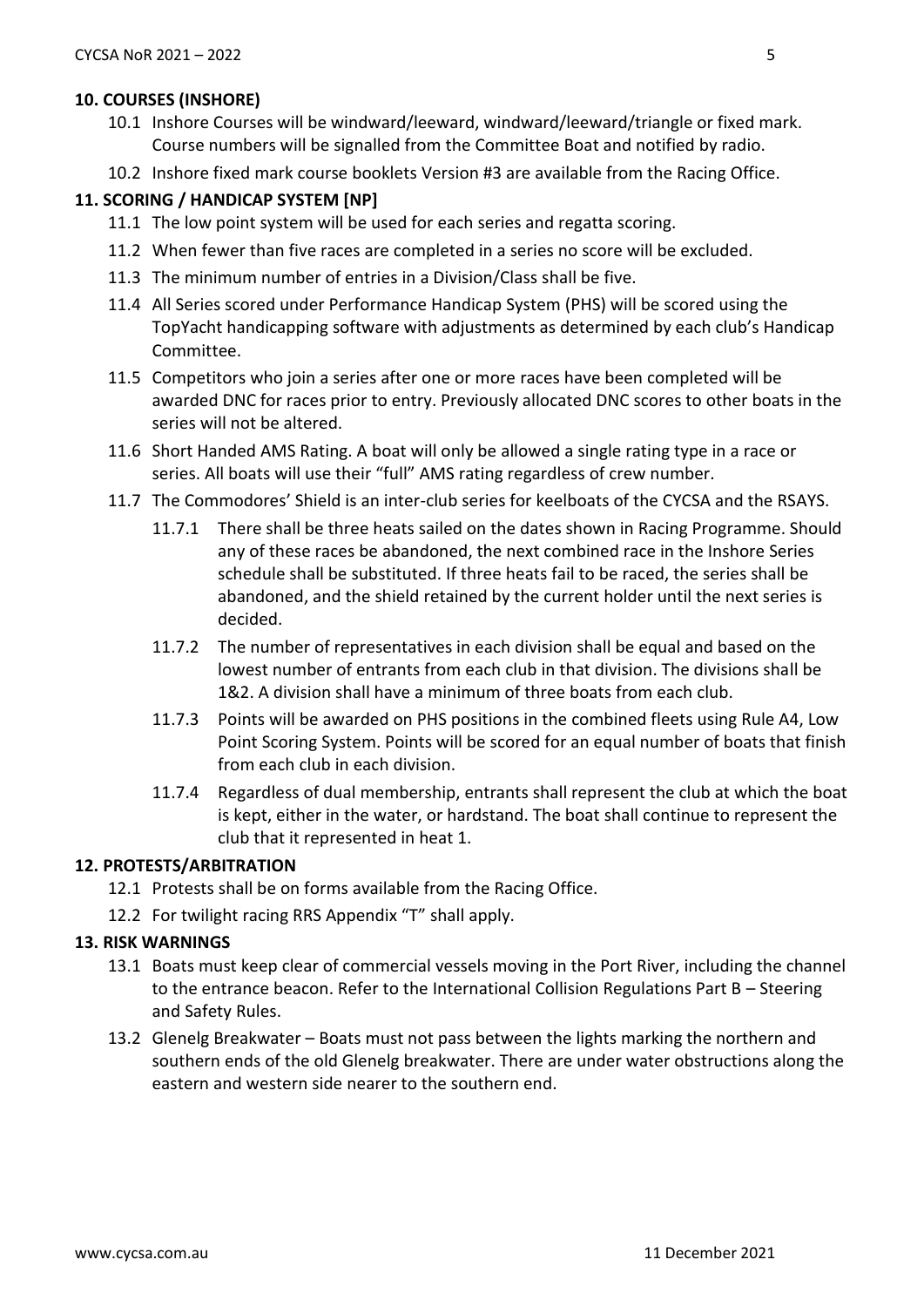## **10. COURSES (INSHORE)**

- 10.1 Inshore Courses will be windward/leeward, windward/leeward/triangle or fixed mark. Course numbers will be signalled from the Committee Boat and notified by radio.
- 10.2 Inshore fixed mark course booklets Version #3 are available from the Racing Office.

## **11. SCORING / HANDICAP SYSTEM [NP]**

- 11.1 The low point system will be used for each series and regatta scoring.
- 11.2 When fewer than five races are completed in a series no score will be excluded.
- 11.3 The minimum number of entries in a Division/Class shall be five.
- 11.4 All Series scored under Performance Handicap System (PHS) will be scored using the TopYacht handicapping software with adjustments as determined by each club's Handicap Committee.
- 11.5 Competitors who join a series after one or more races have been completed will be awarded DNC for races prior to entry. Previously allocated DNC scores to other boats in the series will not be altered.
- 11.6 Short Handed AMS Rating. A boat will only be allowed a single rating type in a race or series. All boats will use their "full" AMS rating regardless of crew number.
- 11.7 The Commodores' Shield is an inter-club series for keelboats of the CYCSA and the RSAYS.
	- 11.7.1 There shall be three heats sailed on the dates shown in Racing Programme. Should any of these races be abandoned, the next combined race in the Inshore Series schedule shall be substituted. If three heats fail to be raced, the series shall be abandoned, and the shield retained by the current holder until the next series is decided.
	- 11.7.2 The number of representatives in each division shall be equal and based on the lowest number of entrants from each club in that division. The divisions shall be 1&2. A division shall have a minimum of three boats from each club.
	- 11.7.3 Points will be awarded on PHS positions in the combined fleets using Rule A4, Low Point Scoring System. Points will be scored for an equal number of boats that finish from each club in each division.
	- 11.7.4 Regardless of dual membership, entrants shall represent the club at which the boat is kept, either in the water, or hardstand. The boat shall continue to represent the club that it represented in heat 1.

## **12. PROTESTS/ARBITRATION**

- 12.1 Protests shall be on forms available from the Racing Office.
- 12.2 For twilight racing RRS Appendix "T" shall apply.

## **13. RISK WARNINGS**

- 13.1 Boats must keep clear of commercial vessels moving in the Port River, including the channel to the entrance beacon. Refer to the International Collision Regulations Part B – Steering and Safety Rules.
- 13.2 Glenelg Breakwater Boats must not pass between the lights marking the northern and southern ends of the old Glenelg breakwater. There are under water obstructions along the eastern and western side nearer to the southern end.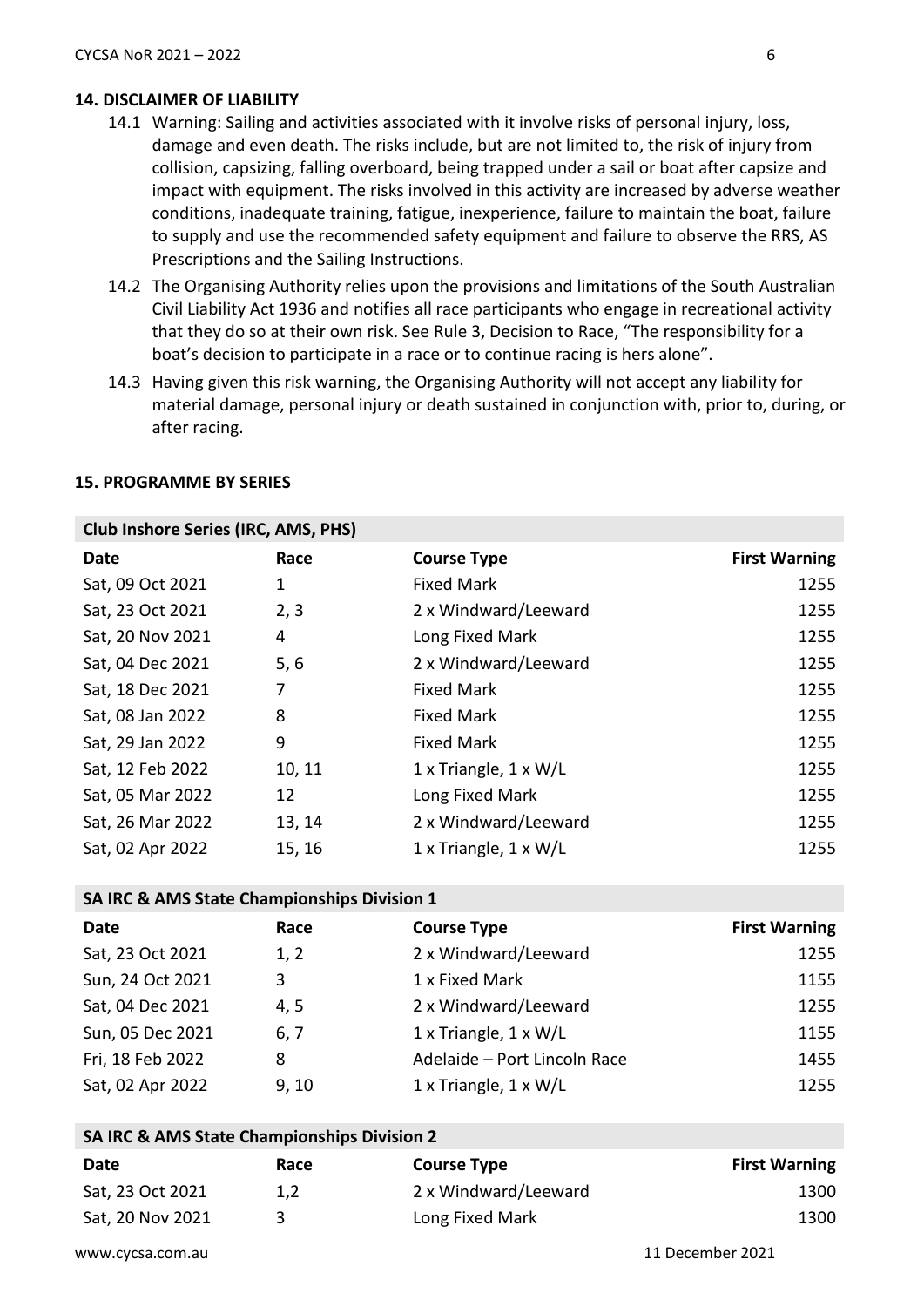## **14. DISCLAIMER OF LIABILITY**

- 14.1 Warning: Sailing and activities associated with it involve risks of personal injury, loss, damage and even death. The risks include, but are not limited to, the risk of injury from collision, capsizing, falling overboard, being trapped under a sail or boat after capsize and impact with equipment. The risks involved in this activity are increased by adverse weather conditions, inadequate training, fatigue, inexperience, failure to maintain the boat, failure to supply and use the recommended safety equipment and failure to observe the RRS, AS Prescriptions and the Sailing Instructions.
- 14.2 The Organising Authority relies upon the provisions and limitations of the South Australian Civil Liability Act 1936 and notifies all race participants who engage in recreational activity that they do so at their own risk. See Rule 3, Decision to Race, "The responsibility for a boat's decision to participate in a race or to continue racing is hers alone".
- 14.3 Having given this risk warning, the Organising Authority will not accept any liability for material damage, personal injury or death sustained in conjunction with, prior to, during, or after racing.

| <b>Club Inshore Series (IRC, AMS, PHS)</b> |        |                                     |                      |  |
|--------------------------------------------|--------|-------------------------------------|----------------------|--|
| Date                                       | Race   | <b>Course Type</b>                  | <b>First Warning</b> |  |
| Sat, 09 Oct 2021                           | 1      | <b>Fixed Mark</b>                   | 1255                 |  |
| Sat, 23 Oct 2021                           | 2, 3   | 2 x Windward/Leeward                | 1255                 |  |
| Sat, 20 Nov 2021                           | 4      | Long Fixed Mark                     | 1255                 |  |
| Sat, 04 Dec 2021                           | 5, 6   | 2 x Windward/Leeward                | 1255                 |  |
| Sat, 18 Dec 2021                           | 7      | <b>Fixed Mark</b>                   | 1255                 |  |
| Sat, 08 Jan 2022                           | 8      | <b>Fixed Mark</b>                   | 1255                 |  |
| Sat, 29 Jan 2022                           | 9      | <b>Fixed Mark</b>                   | 1255                 |  |
| Sat, 12 Feb 2022                           | 10, 11 | $1 \times$ Triangle, $1 \times W/L$ | 1255                 |  |
| Sat, 05 Mar 2022                           | 12     | Long Fixed Mark                     | 1255                 |  |
| Sat, 26 Mar 2022                           | 13, 14 | 2 x Windward/Leeward                | 1255                 |  |
| Sat, 02 Apr 2022                           | 15, 16 | $1 \times$ Triangle, $1 \times W/L$ | 1255                 |  |

#### **15. PROGRAMME BY SERIES**

#### **SA IRC & AMS State Championships Division 1**

| Date             | Race  | <b>Course Type</b>                  | <b>First Warning</b> |
|------------------|-------|-------------------------------------|----------------------|
| Sat, 23 Oct 2021 | 1, 2  | 2 x Windward/Leeward                | 1255                 |
| Sun, 24 Oct 2021 | 3     | 1 x Fixed Mark                      | 1155                 |
| Sat, 04 Dec 2021 | 4,5   | 2 x Windward/Leeward                | 1255                 |
| Sun, 05 Dec 2021 | 6, 7  | 1 x Triangle, 1 x W/L               | 1155                 |
| Fri, 18 Feb 2022 | 8     | Adelaide - Port Lincoln Race        | 1455                 |
| Sat, 02 Apr 2022 | 9, 10 | $1 \times$ Triangle, $1 \times W/L$ | 1255                 |

| SA IRC & AMS State Championships Division 2 |      |                      |                      |
|---------------------------------------------|------|----------------------|----------------------|
| Date                                        | Race | <b>Course Type</b>   | <b>First Warning</b> |
| Sat, 23 Oct 2021                            | 1.2  | 2 x Windward/Leeward | 1300                 |
| Sat, 20 Nov 2021                            | ર    | Long Fixed Mark      | 1300                 |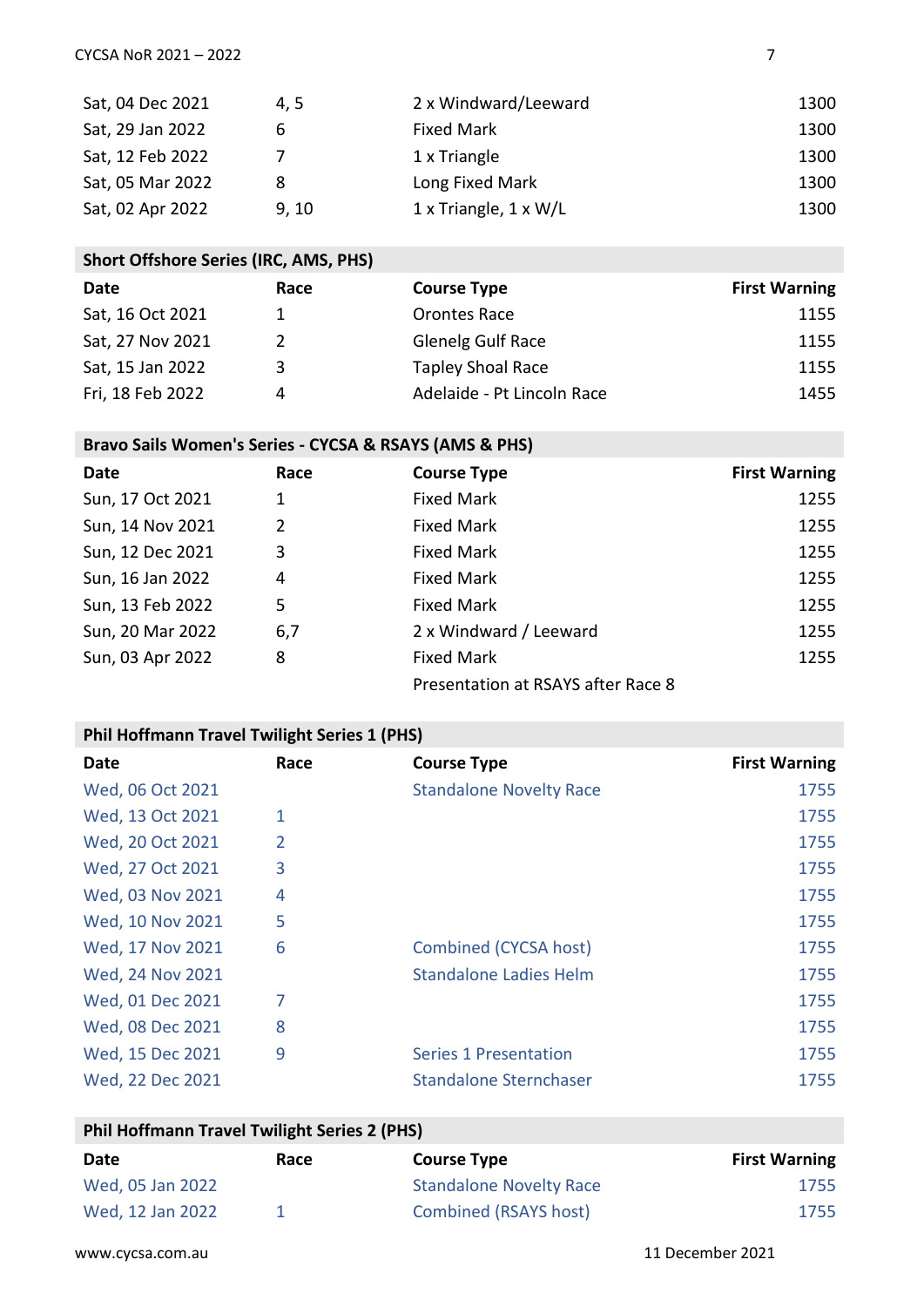| Sat, 04 Dec 2021 | 4.5   | 2 x Windward/Leeward                | 1300 |
|------------------|-------|-------------------------------------|------|
| Sat, 29 Jan 2022 | 6     | <b>Fixed Mark</b>                   | 1300 |
| Sat, 12 Feb 2022 |       | 1 x Triangle                        | 1300 |
| Sat, 05 Mar 2022 | 8     | Long Fixed Mark                     | 1300 |
| Sat, 02 Apr 2022 | 9, 10 | $1 \times$ Triangle, $1 \times W/L$ | 1300 |

# **Short Offshore Series (IRC, AMS, PHS)**

| Date             | Race          | <b>Course Type</b>         | <b>First Warning</b> |
|------------------|---------------|----------------------------|----------------------|
| Sat, 16 Oct 2021 |               | Orontes Race               | 1155                 |
| Sat, 27 Nov 2021 | $\mathcal{P}$ | <b>Glenelg Gulf Race</b>   | 1155                 |
| Sat, 15 Jan 2022 | 3             | <b>Tapley Shoal Race</b>   | 1155                 |
| Fri, 18 Feb 2022 | 4             | Adelaide - Pt Lincoln Race | 1455                 |

# **Bravo Sails Women's Series - CYCSA & RSAYS (AMS & PHS)**

| Date             | Race           | <b>Course Type</b>                 | <b>First Warning</b> |
|------------------|----------------|------------------------------------|----------------------|
| Sun, 17 Oct 2021 | 1              | <b>Fixed Mark</b>                  | 1255                 |
| Sun, 14 Nov 2021 | $\overline{2}$ | <b>Fixed Mark</b>                  | 1255                 |
| Sun, 12 Dec 2021 | 3              | <b>Fixed Mark</b>                  | 1255                 |
| Sun, 16 Jan 2022 | 4              | <b>Fixed Mark</b>                  | 1255                 |
| Sun, 13 Feb 2022 | 5              | <b>Fixed Mark</b>                  | 1255                 |
| Sun, 20 Mar 2022 | 6,7            | 2 x Windward / Leeward             | 1255                 |
| Sun, 03 Apr 2022 | 8              | <b>Fixed Mark</b>                  | 1255                 |
|                  |                | Presentation at RSAYS after Race 8 |                      |

# **Phil Hoffmann Travel Twilight Series 1 (PHS)**

| Date             | Race | <b>Course Type</b>             | <b>First Warning</b> |
|------------------|------|--------------------------------|----------------------|
| Wed, 06 Oct 2021 |      | <b>Standalone Novelty Race</b> | 1755                 |
| Wed, 13 Oct 2021 | 1    |                                | 1755                 |
| Wed, 20 Oct 2021 | 2    |                                | 1755                 |
| Wed, 27 Oct 2021 | 3    |                                | 1755                 |
| Wed, 03 Nov 2021 | 4    |                                | 1755                 |
| Wed, 10 Nov 2021 | 5    |                                | 1755                 |
| Wed, 17 Nov 2021 | 6    | Combined (CYCSA host)          | 1755                 |
| Wed, 24 Nov 2021 |      | <b>Standalone Ladies Helm</b>  | 1755                 |
| Wed, 01 Dec 2021 | 7    |                                | 1755                 |
| Wed, 08 Dec 2021 | 8    |                                | 1755                 |
| Wed, 15 Dec 2021 | 9    | <b>Series 1 Presentation</b>   | 1755                 |
| Wed, 22 Dec 2021 |      | <b>Standalone Sternchaser</b>  | 1755                 |

# **Phil Hoffmann Travel Twilight Series 2 (PHS)**

| Date             | Race | <b>Course Type</b>             | <b>First Warning</b> |
|------------------|------|--------------------------------|----------------------|
| Wed, 05 Jan 2022 |      | <b>Standalone Novelty Race</b> | 1755                 |
| Wed, 12 Jan 2022 |      | Combined (RSAYS host)          | 1755                 |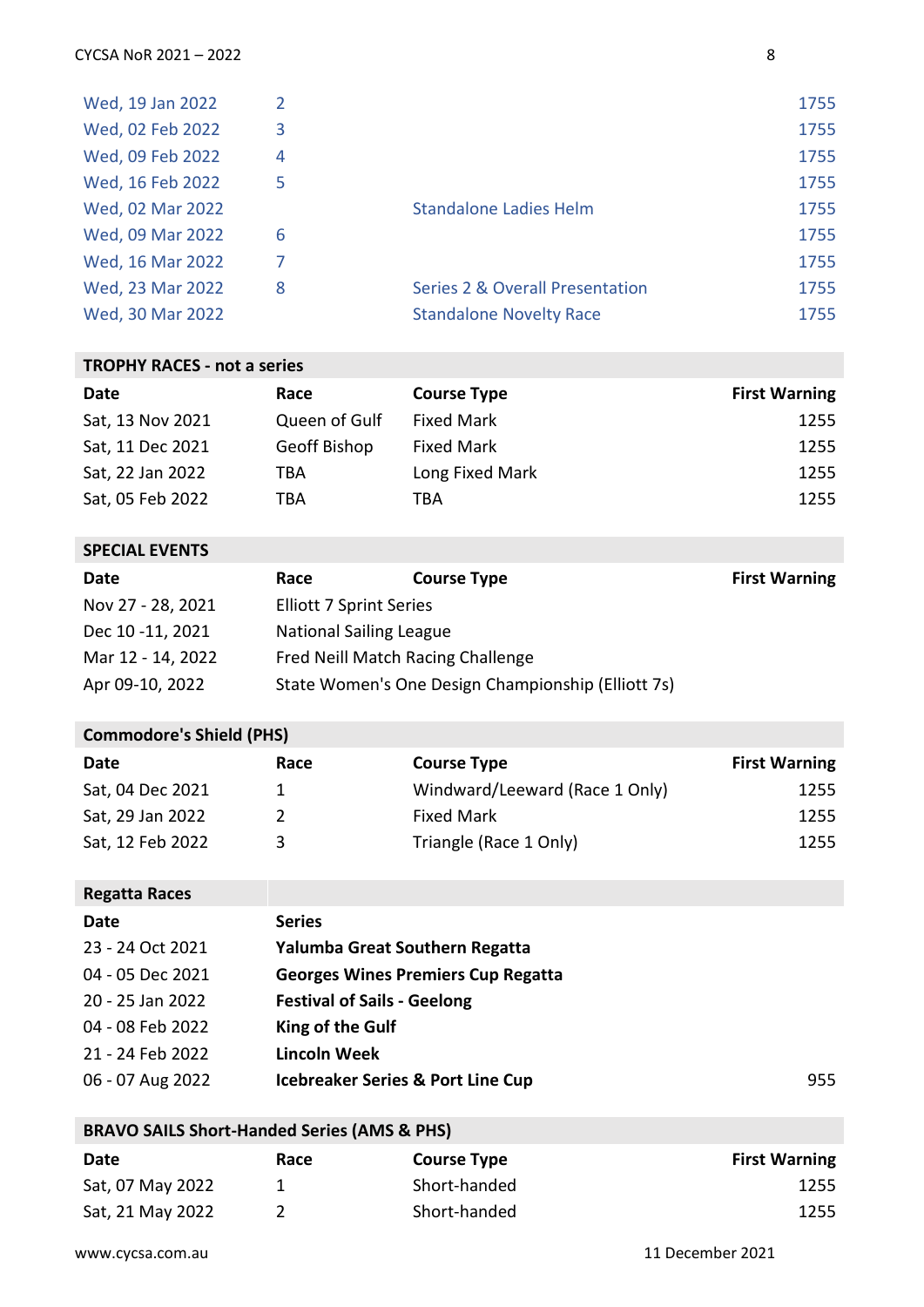| Wed, 19 Jan 2022 | 2 |                                            | 1755 |
|------------------|---|--------------------------------------------|------|
| Wed, 02 Feb 2022 | 3 |                                            | 1755 |
| Wed, 09 Feb 2022 | 4 |                                            | 1755 |
| Wed, 16 Feb 2022 | 5 |                                            | 1755 |
| Wed, 02 Mar 2022 |   | <b>Standalone Ladies Helm</b>              | 1755 |
| Wed, 09 Mar 2022 | 6 |                                            | 1755 |
| Wed, 16 Mar 2022 |   |                                            | 1755 |
| Wed, 23 Mar 2022 | 8 | <b>Series 2 &amp; Overall Presentation</b> | 1755 |
| Wed, 30 Mar 2022 |   | <b>Standalone Novelty Race</b>             | 1755 |

#### **TROPHY RACES - not a series**

| Date             | Race          | <b>Course Type</b> | <b>First Warning</b> |
|------------------|---------------|--------------------|----------------------|
| Sat, 13 Nov 2021 | Queen of Gulf | <b>Fixed Mark</b>  | 1255                 |
| Sat, 11 Dec 2021 | Geoff Bishop  | <b>Fixed Mark</b>  | 1255                 |
| Sat, 22 Jan 2022 | TBA           | Long Fixed Mark    | 1255                 |
| Sat, 05 Feb 2022 | TBA           | TBA                | 1255                 |

### **SPECIAL EVENTS**

| Date              | Race                              | <b>Course Type</b>                                 | <b>First Warning</b> |
|-------------------|-----------------------------------|----------------------------------------------------|----------------------|
| Nov 27 - 28, 2021 | <b>Elliott 7 Sprint Series</b>    |                                                    |                      |
| Dec 10 -11, 2021  | <b>National Sailing League</b>    |                                                    |                      |
| Mar 12 - 14, 2022 | Fred Neill Match Racing Challenge |                                                    |                      |
| Apr 09-10, 2022   |                                   | State Women's One Design Championship (Elliott 7s) |                      |

# **Commodore's Shield (PHS)**

| Date             | Race | <b>Course Type</b>             | <b>First Warning</b> |
|------------------|------|--------------------------------|----------------------|
| Sat, 04 Dec 2021 |      | Windward/Leeward (Race 1 Only) | 1255                 |
| Sat, 29 Jan 2022 |      | <b>Fixed Mark</b>              | 1255                 |
| Sat, 12 Feb 2022 | ર    | Triangle (Race 1 Only)         | 1255                 |

| <b>Regatta Races</b> |                                              |     |
|----------------------|----------------------------------------------|-----|
| Date                 | <b>Series</b>                                |     |
| 23 - 24 Oct 2021     | Yalumba Great Southern Regatta               |     |
| 04 - 05 Dec 2021     | <b>Georges Wines Premiers Cup Regatta</b>    |     |
| 20 - 25 Jan 2022     | <b>Festival of Sails - Geelong</b>           |     |
| 04 - 08 Feb 2022     | King of the Gulf                             |     |
| 21 - 24 Feb 2022     | <b>Lincoln Week</b>                          |     |
| 06 - 07 Aug 2022     | <b>Icebreaker Series &amp; Port Line Cup</b> | 955 |

# **BRAVO SAILS Short-Handed Series (AMS & PHS)**

| Date             | Race | <b>Course Type</b> | <b>First Warning</b> |
|------------------|------|--------------------|----------------------|
| Sat, 07 May 2022 |      | Short-handed       | 1255                 |
| Sat, 21 May 2022 |      | Short-handed       | 1255                 |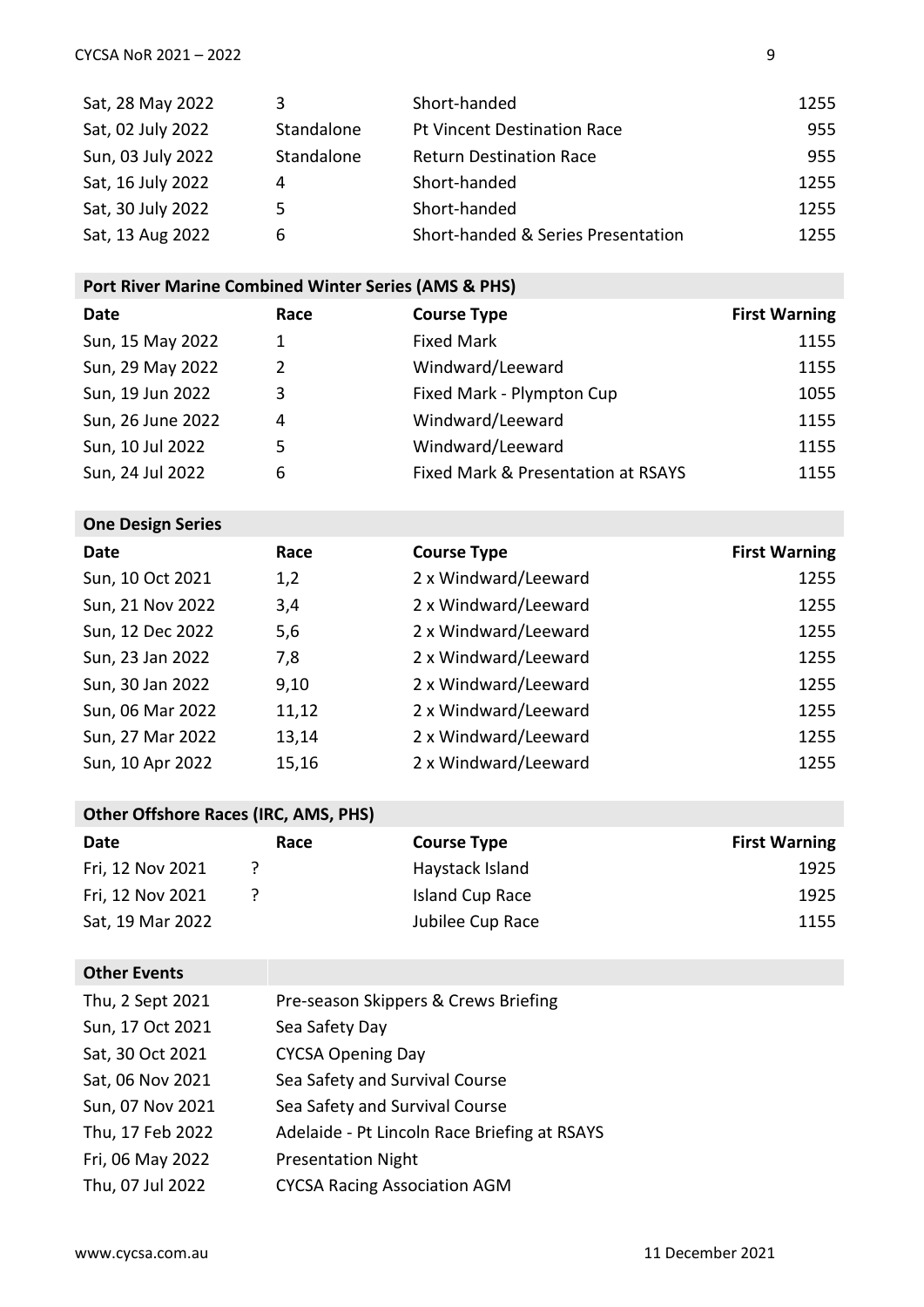| Sat, 28 May 2022  | 3          | Short-handed                       | 1255 |
|-------------------|------------|------------------------------------|------|
| Sat, 02 July 2022 | Standalone | <b>Pt Vincent Destination Race</b> | 955  |
| Sun, 03 July 2022 | Standalone | <b>Return Destination Race</b>     | 955  |
| Sat, 16 July 2022 | 4          | Short-handed                       | 1255 |
| Sat, 30 July 2022 | 5.         | Short-handed                       | 1255 |
| Sat, 13 Aug 2022  | 6          | Short-handed & Series Presentation | 1255 |

# **Port River Marine Combined Winter Series (AMS & PHS)**

| Date              | Race | <b>Course Type</b>                 | <b>First Warning</b> |
|-------------------|------|------------------------------------|----------------------|
| Sun, 15 May 2022  | 1    | <b>Fixed Mark</b>                  | 1155                 |
| Sun, 29 May 2022  | 2    | Windward/Leeward                   | 1155                 |
| Sun, 19 Jun 2022  | 3    | Fixed Mark - Plympton Cup          | 1055                 |
| Sun, 26 June 2022 | 4    | Windward/Leeward                   | 1155                 |
| Sun, 10 Jul 2022  | 5    | Windward/Leeward                   | 1155                 |
| Sun, 24 Jul 2022  | 6    | Fixed Mark & Presentation at RSAYS | 1155                 |

**One Design Series** 

| Date             | Race  | <b>Course Type</b>   | <b>First Warning</b> |
|------------------|-------|----------------------|----------------------|
| Sun, 10 Oct 2021 | 1,2   | 2 x Windward/Leeward | 1255                 |
| Sun, 21 Nov 2022 | 3,4   | 2 x Windward/Leeward | 1255                 |
| Sun, 12 Dec 2022 | 5,6   | 2 x Windward/Leeward | 1255                 |
| Sun, 23 Jan 2022 | 7,8   | 2 x Windward/Leeward | 1255                 |
| Sun, 30 Jan 2022 | 9,10  | 2 x Windward/Leeward | 1255                 |
| Sun, 06 Mar 2022 | 11,12 | 2 x Windward/Leeward | 1255                 |
| Sun, 27 Mar 2022 | 13,14 | 2 x Windward/Leeward | 1255                 |
| Sun, 10 Apr 2022 | 15,16 | 2 x Windward/Leeward | 1255                 |

# **Other Offshore Races (IRC, AMS, PHS)**

| Date             | Race | <b>Course Type</b> | <b>First Warning</b> |
|------------------|------|--------------------|----------------------|
| Fri, 12 Nov 2021 |      | Haystack Island    | 1925                 |
| Fri, 12 Nov 2021 |      | Island Cup Race    | 1925                 |
| Sat, 19 Mar 2022 |      | Jubilee Cup Race   | 1155                 |

## **Other Events**

| Thu, 2 Sept 2021 | Pre-season Skippers & Crews Briefing         |
|------------------|----------------------------------------------|
| Sun, 17 Oct 2021 | Sea Safety Day                               |
| Sat, 30 Oct 2021 | <b>CYCSA Opening Day</b>                     |
| Sat, 06 Nov 2021 | Sea Safety and Survival Course               |
| Sun, 07 Nov 2021 | Sea Safety and Survival Course               |
| Thu, 17 Feb 2022 | Adelaide - Pt Lincoln Race Briefing at RSAYS |
| Fri, 06 May 2022 | <b>Presentation Night</b>                    |
| Thu, 07 Jul 2022 | <b>CYCSA Racing Association AGM</b>          |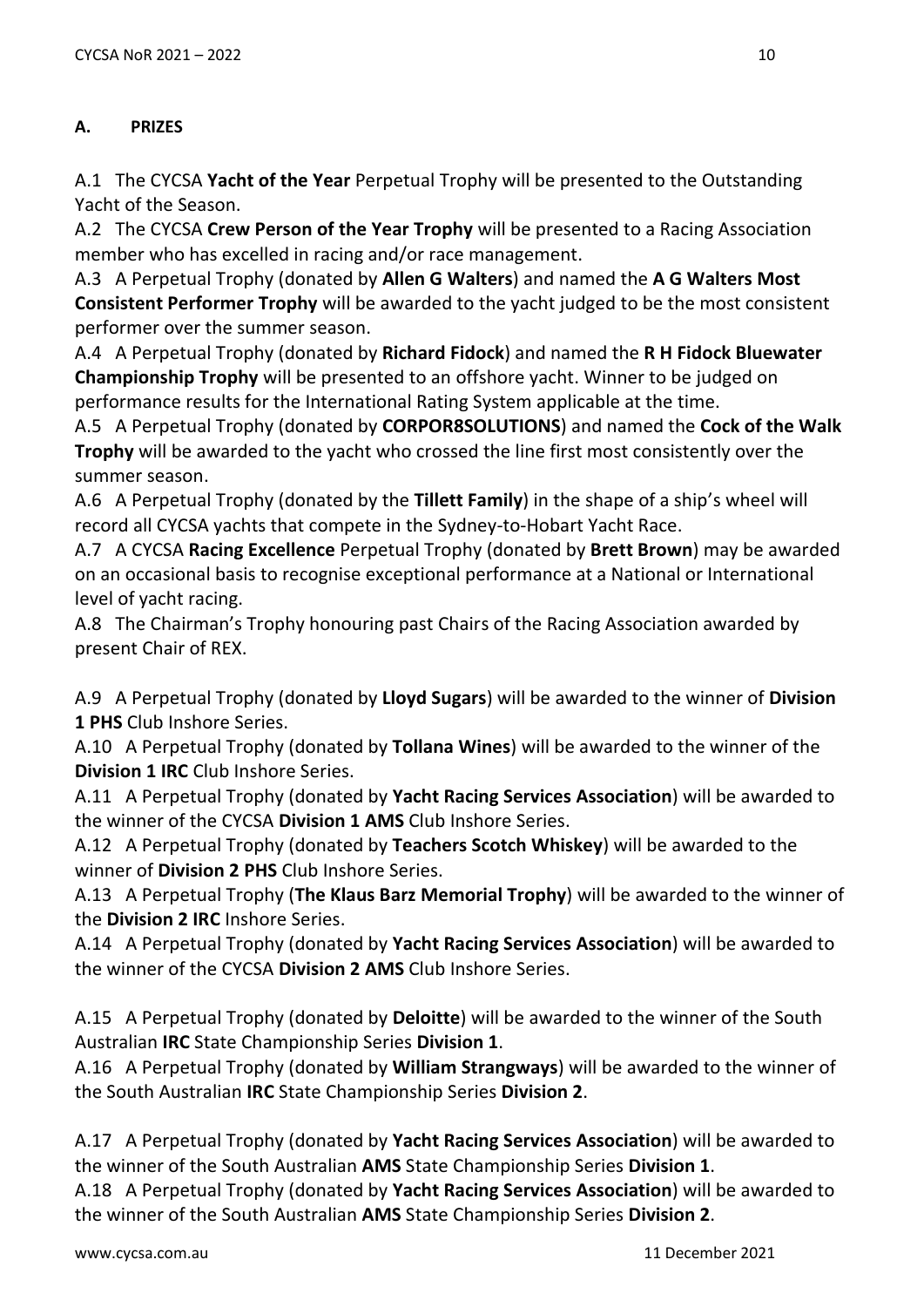# **A. PRIZES**

A.1 The CYCSA **Yacht of the Year** Perpetual Trophy will be presented to the Outstanding Yacht of the Season.

A.2 The CYCSA **Crew Person of the Year Trophy** will be presented to a Racing Association member who has excelled in racing and/or race management.

A.3 A Perpetual Trophy (donated by **Allen G Walters**) and named the **A G Walters Most Consistent Performer Trophy** will be awarded to the yacht judged to be the most consistent performer over the summer season.

A.4 A Perpetual Trophy (donated by **Richard Fidock**) and named the **R H Fidock Bluewater Championship Trophy** will be presented to an offshore yacht. Winner to be judged on performance results for the International Rating System applicable at the time.

A.5 A Perpetual Trophy (donated by **CORPOR8SOLUTIONS**) and named the **Cock of the Walk Trophy** will be awarded to the yacht who crossed the line first most consistently over the summer season.

A.6 A Perpetual Trophy (donated by the **Tillett Family**) in the shape of a ship's wheel will record all CYCSA yachts that compete in the Sydney-to-Hobart Yacht Race.

A.7 A CYCSA **Racing Excellence** Perpetual Trophy (donated by **Brett Brown**) may be awarded on an occasional basis to recognise exceptional performance at a National or International level of yacht racing.

A.8 The Chairman's Trophy honouring past Chairs of the Racing Association awarded by present Chair of REX.

A.9 A Perpetual Trophy (donated by **Lloyd Sugars**) will be awarded to the winner of **Division 1 PHS** Club Inshore Series.

A.10 A Perpetual Trophy (donated by **Tollana Wines**) will be awarded to the winner of the **Division 1 IRC** Club Inshore Series.

A.11 A Perpetual Trophy (donated by **Yacht Racing Services Association**) will be awarded to the winner of the CYCSA **Division 1 AMS** Club Inshore Series.

A.12 A Perpetual Trophy (donated by **Teachers Scotch Whiskey**) will be awarded to the winner of **Division 2 PHS** Club Inshore Series.

A.13 A Perpetual Trophy (**The Klaus Barz Memorial Trophy**) will be awarded to the winner of the **Division 2 IRC** Inshore Series.

A.14 A Perpetual Trophy (donated by **Yacht Racing Services Association**) will be awarded to the winner of the CYCSA **Division 2 AMS** Club Inshore Series.

A.15 A Perpetual Trophy (donated by **Deloitte**) will be awarded to the winner of the South Australian **IRC** State Championship Series **Division 1**.

A.16 A Perpetual Trophy (donated by **William Strangways**) will be awarded to the winner of the South Australian **IRC** State Championship Series **Division 2**.

A.17 A Perpetual Trophy (donated by **Yacht Racing Services Association**) will be awarded to the winner of the South Australian **AMS** State Championship Series **Division 1**.

A.18 A Perpetual Trophy (donated by **Yacht Racing Services Association**) will be awarded to the winner of the South Australian **AMS** State Championship Series **Division 2**.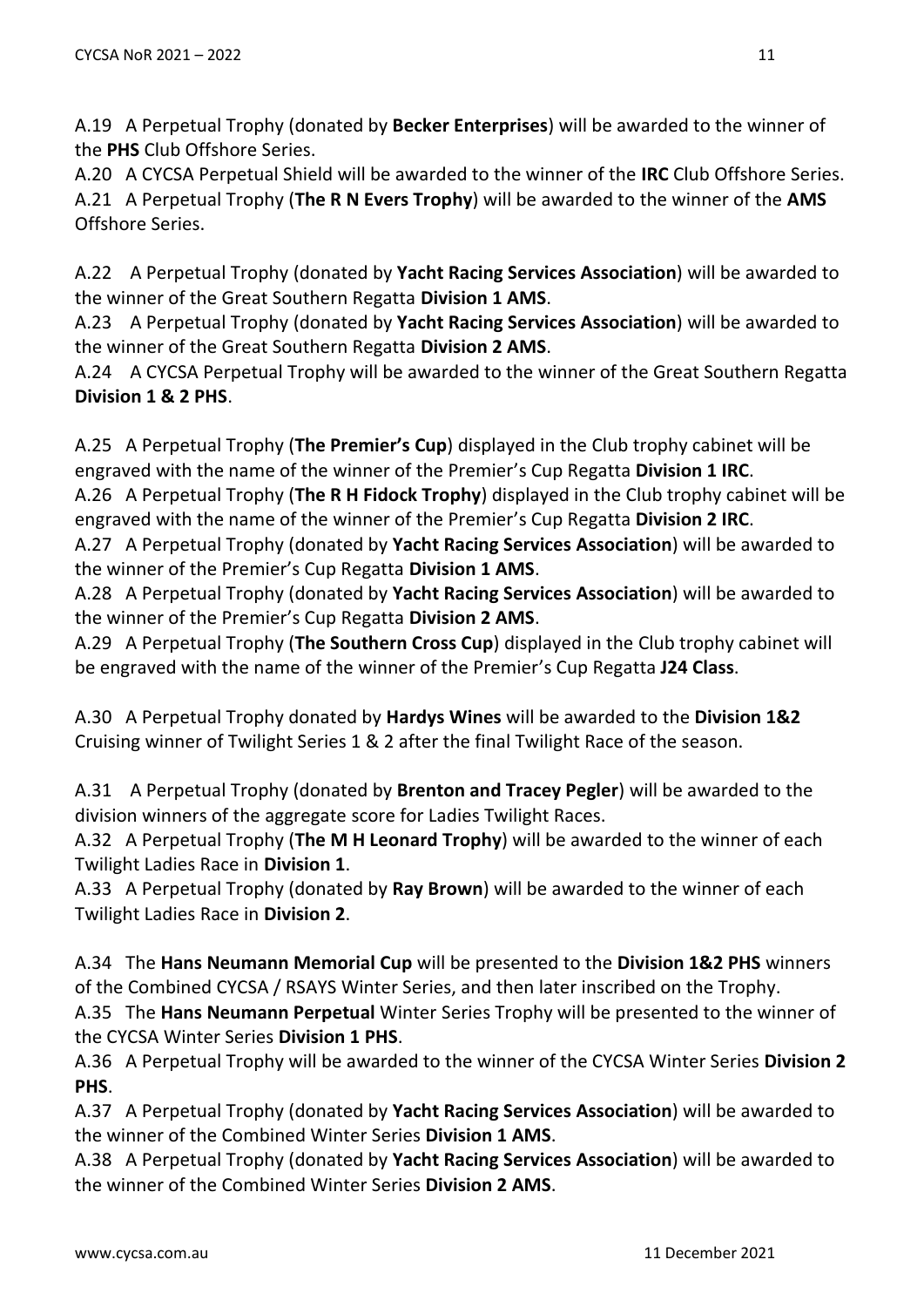A.19 A Perpetual Trophy (donated by **Becker Enterprises**) will be awarded to the winner of the **PHS** Club Offshore Series.

A.20 A CYCSA Perpetual Shield will be awarded to the winner of the **IRC** Club Offshore Series. A.21 A Perpetual Trophy (**The R N Evers Trophy**) will be awarded to the winner of the **AMS** Offshore Series.

A.22 A Perpetual Trophy (donated by **Yacht Racing Services Association**) will be awarded to the winner of the Great Southern Regatta **Division 1 AMS**.

A.23 A Perpetual Trophy (donated by **Yacht Racing Services Association**) will be awarded to the winner of the Great Southern Regatta **Division 2 AMS**.

A.24 A CYCSA Perpetual Trophy will be awarded to the winner of the Great Southern Regatta **Division 1 & 2 PHS**.

A.25 A Perpetual Trophy (**The Premier's Cup**) displayed in the Club trophy cabinet will be engraved with the name of the winner of the Premier's Cup Regatta **Division 1 IRC**.

A.26 A Perpetual Trophy (**The R H Fidock Trophy**) displayed in the Club trophy cabinet will be engraved with the name of the winner of the Premier's Cup Regatta **Division 2 IRC**.

A.27 A Perpetual Trophy (donated by **Yacht Racing Services Association**) will be awarded to the winner of the Premier's Cup Regatta **Division 1 AMS**.

A.28 A Perpetual Trophy (donated by **Yacht Racing Services Association**) will be awarded to the winner of the Premier's Cup Regatta **Division 2 AMS**.

A.29 A Perpetual Trophy (**The Southern Cross Cup**) displayed in the Club trophy cabinet will be engraved with the name of the winner of the Premier's Cup Regatta **J24 Class**.

A.30 A Perpetual Trophy donated by **Hardys Wines** will be awarded to the **Division 1&2** Cruising winner of Twilight Series 1 & 2 after the final Twilight Race of the season.

A.31 A Perpetual Trophy (donated by **Brenton and Tracey Pegler**) will be awarded to the division winners of the aggregate score for Ladies Twilight Races.

A.32 A Perpetual Trophy (**The M H Leonard Trophy**) will be awarded to the winner of each Twilight Ladies Race in **Division 1**.

A.33 A Perpetual Trophy (donated by **Ray Brown**) will be awarded to the winner of each Twilight Ladies Race in **Division 2**.

A.34 The **Hans Neumann Memorial Cup** will be presented to the **Division 1&2 PHS** winners of the Combined CYCSA / RSAYS Winter Series, and then later inscribed on the Trophy.

A.35 The **Hans Neumann Perpetual** Winter Series Trophy will be presented to the winner of the CYCSA Winter Series **Division 1 PHS**.

A.36 A Perpetual Trophy will be awarded to the winner of the CYCSA Winter Series **Division 2 PHS**.

A.37 A Perpetual Trophy (donated by **Yacht Racing Services Association**) will be awarded to the winner of the Combined Winter Series **Division 1 AMS**.

A.38 A Perpetual Trophy (donated by **Yacht Racing Services Association**) will be awarded to the winner of the Combined Winter Series **Division 2 AMS**.